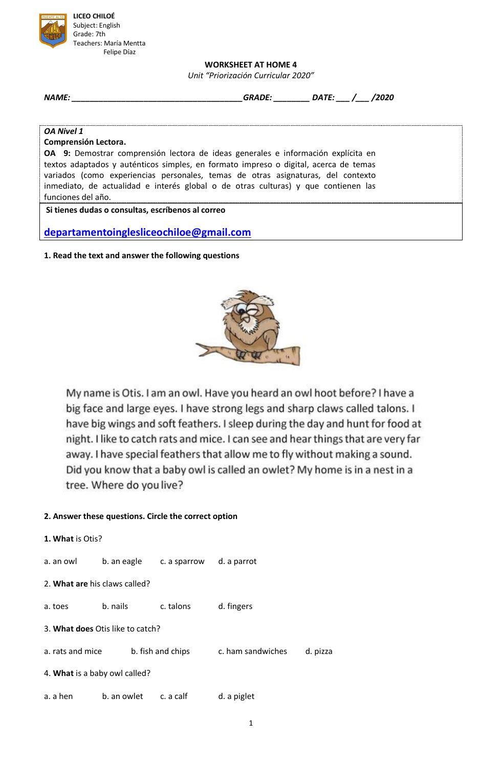

### **WORKSHEET AT HOME 4**

*Unit "Priorización Curricular 2020"*

| <b>NAME:</b> | <b>GRADE</b> | <b>IATE</b><br>И | 2020 |  |
|--------------|--------------|------------------|------|--|
|--------------|--------------|------------------|------|--|

#### *OA Nivel 1*

### **Comprensión Lectora.**

**OA 9:** Demostrar comprensión lectora de ideas generales e información explícita en textos adaptados y auténticos simples, en formato impreso o digital, acerca de temas variados (como experiencias personales, temas de otras asignaturas, del contexto inmediato, de actualidad e interés global o de otras culturas) y que contienen las funciones del año.

## **Si tienes dudas o consultas, escríbenos al correo**

**departamentoinglesliceochiloe@gmail.com**

**1. Read the text and answer the following questions**



My name is Otis. I am an owl. Have you heard an owl hoot before? I have a big face and large eyes. I have strong legs and sharp claws called talons. I have big wings and soft feathers. I sleep during the day and hunt for food at night. I like to catch rats and mice. I can see and hear things that are very far away. I have special feathers that allow me to fly without making a sound. Did you know that a baby owl is called an owlet? My home is in a nest in a tree. Where do you live?

# **2. Answer these questions. Circle the correct option**

| 1. What is Otis?              |                                  |                   |                   |          |  |
|-------------------------------|----------------------------------|-------------------|-------------------|----------|--|
| a. an owl                     | b. an eagle                      | c. a sparrow      | d. a parrot       |          |  |
|                               | 2. What are his claws called?    |                   |                   |          |  |
| a. toes                       | b. nails                         | c. talons         | d. fingers        |          |  |
|                               | 3. What does Otis like to catch? |                   |                   |          |  |
| a. rats and mice              |                                  | b. fish and chips | c. ham sandwiches | d. pizza |  |
| 4. What is a baby owl called? |                                  |                   |                   |          |  |
| a. a hen                      | b. an owlet c. a calf            |                   | d. a piglet       |          |  |